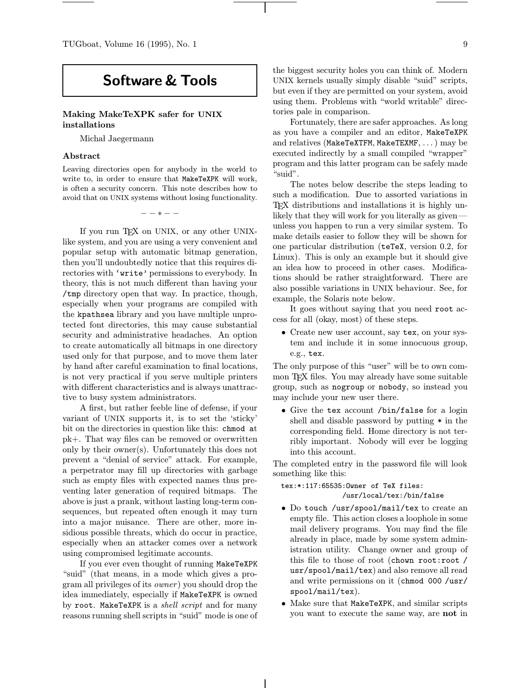# Software & Tools

## Making MakeTeXPK safer for UNIX installations

Michał Jaegermann

## Abstract

Leaving directories open for anybody in the world to write to, in order to ensure that MakeTeXPK will work, is often a security concern. This note describes how to avoid that on UNIX systems without losing functionality.

−−∗−−

If you run T<sub>F</sub>X on UNIX, or any other UNIXlike system, and you are using a very convenient and popular setup with automatic bitmap generation, then you'll undoubtedly notice that this requires directories with 'write' permissions to everybody. In theory, this is not much different than having your /tmp directory open that way. In practice, though, especially when your programs are compiled with the kpathsea library and you have multiple unprotected font directories, this may cause substantial security and administrative headaches. An option to create automatically all bitmaps in one directory used only for that purpose, and to move them later by hand after careful examination to final locations, is not very practical if you serve multiple printers with different characteristics and is always unattractive to busy system administrators.

A first, but rather feeble line of defense, if your variant of UNIX supports it, is to set the 'sticky' bit on the directories in question like this: chmod at pk+. That way files can be removed or overwritten only by their owner(s). Unfortunately this does not prevent a "denial of service" attack. For example, a perpetrator may fill up directories with garbage such as empty files with expected names thus preventing later generation of required bitmaps. The above is just a prank, without lasting long-term consequences, but repeated often enough it may turn into a major nuisance. There are other, more insidious possible threats, which do occur in practice, especially when an attacker comes over a network using compromised legitimate accounts.

If you ever even thought of running MakeTeXPK "suid" (that means, in a mode which gives a program all privileges of its owner ) you should drop the idea immediately, especially if MakeTeXPK is owned by root. MakeTeXPK is a *shell script* and for many reasons running shell scripts in "suid" mode is one of the biggest security holes you can think of. Modern UNIX kernels usually simply disable "suid" scripts, but even if they are permitted on your system, avoid using them. Problems with "world writable" directories pale in comparison.

Fortunately, there are safer approaches. As long as you have a compiler and an editor, MakeTeXPK and relatives (MakeTeXTFM, MakeTEXMF, ...) may be executed indirectly by a small compiled "wrapper" program and this latter program can be safely made "suid".

The notes below describe the steps leading to such a modification. Due to assorted variations in TEX distributions and installations it is highly unlikely that they will work for you literally as given unless you happen to run a very similar system. To make details easier to follow they will be shown for one particular distribution (teTeX, version 0.2, for Linux). This is only an example but it should give an idea how to proceed in other cases. Modifications should be rather straightforward. There are also possible variations in UNIX behaviour. See, for example, the Solaris note below.

It goes without saying that you need root access for all (okay, most) of these steps.

• Create new user account, say tex, on your system and include it in some innocuous group, e.g., tex.

The only purpose of this "user" will be to own common TEX files. You may already have some suitable group, such as nogroup or nobody, so instead you may include your new user there.

• Give the tex account /bin/false for a login shell and disable password by putting \* in the corresponding field. Home directory is not terribly important. Nobody will ever be logging into this account.

The completed entry in the password file will look something like this:

## tex:\*:117:65535:Owner of TeX files: /usr/local/tex:/bin/false

- Do touch /usr/spool/mail/tex to create an empty file. This action closes a loophole in some mail delivery programs. You may find the file already in place, made by some system administration utility. Change owner and group of this file to those of root (chown root:root / usr/spool/mail/tex) and also remove all read and write permissions on it (chmod 000 /usr/ spool/mail/tex).
- Make sure that MakeTeXPK, and similar scripts you want to execute the same way, are not in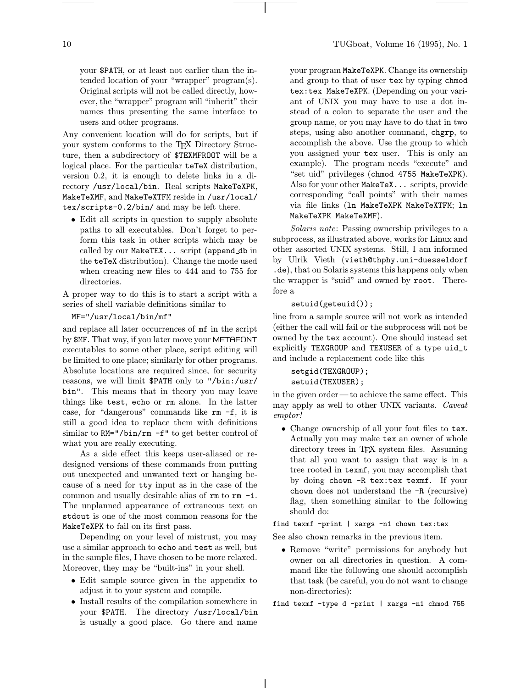your \$PATH, or at least not earlier than the intended location of your "wrapper" program(s). Original scripts will not be called directly, however, the "wrapper" program will "inherit" their names thus presenting the same interface to users and other programs.

Any convenient location will do for scripts, but if your system conforms to the T<sub>EX</sub> Directory Structure, then a subdirectory of \$TEXMFROOT will be a logical place. For the particular teTeX distribution, version 0.2, it is enough to delete links in a directory /usr/local/bin. Real scripts MakeTeXPK, MakeTeXMF, and MakeTeXTFM reside in /usr/local/ tex/scripts-0.2/bin/ and may be left there.

• Edit all scripts in question to supply absolute paths to all executables. Don't forget to perform this task in other scripts which may be called by our MakeTEX... script (append db in the teTeX distribution). Change the mode used when creating new files to 444 and to 755 for directories.

A proper way to do this is to start a script with a series of shell variable definitions similar to

#### MF="/usr/local/bin/mf"

and replace all later occurrences of mf in the script by \$MF. That way, if you later move your METAFONT executables to some other place, script editing will be limited to one place; similarly for other programs. Absolute locations are required since, for security reasons, we will limit \$PATH only to "/bin:/usr/ bin". This means that in theory you may leave things like test, echo or rm alone. In the latter case, for "dangerous" commands like rm -f, it is still a good idea to replace them with definitions similar to  $RM = \gamma \binom{m-m}{m} - f''$  to get better control of what you are really executing.

As a side effect this keeps user-aliased or redesigned versions of these commands from putting out unexpected and unwanted text or hanging because of a need for tty input as in the case of the common and usually desirable alias of rm to rm -i. The unplanned appearance of extraneous text on stdout is one of the most common reasons for the MakeTeXPK to fail on its first pass.

Depending on your level of mistrust, you may use a similar approach to echo and test as well, but in the sample files, I have chosen to be more relaxed. Moreover, they may be "built-ins" in your shell.

- Edit sample source given in the appendix to adjust it to your system and compile.
- Install results of the compilation somewhere in your \$PATH. The directory /usr/local/bin is usually a good place. Go there and name

your program MakeTeXPK. Change its ownership and group to that of user tex by typing chmod tex:tex MakeTeXPK. (Depending on your variant of UNIX you may have to use a dot instead of a colon to separate the user and the group name, or you may have to do that in two steps, using also another command, chgrp, to accomplish the above. Use the group to which you assigned your tex user. This is only an example). The program needs "execute" and "set uid" privileges (chmod 4755 MakeTeXPK). Also for your other MakeTeX... scripts, provide corresponding "call points" with their names via file links (ln MakeTeXPK MakeTeXTFM; ln MakeTeXPK MakeTeXMF).

Solaris note: Passing ownership privileges to a subprocess, as illustrated above, works for Linux and other assorted UNIX systems. Still, I am informed by Ulrik Vieth (vieth@thphy.uni-duesseldorf .de), that on Solaris systems this happens only when the wrapper is "suid" and owned by root. Therefore a

#### setuid(geteuid());

line from a sample source will not work as intended (either the call will fail or the subprocess will not be owned by the tex account). One should instead set explicitly TEXGROUP and TEXUSER of a type uid\_t and include a replacement code like this

```
setgid(TEXGROUP);
setuid(TEXUSER);
```
in the given order—to achieve the same effect. This may apply as well to other UNIX variants. Caveat emptor!

• Change ownership of all your font files to tex. Actually you may make tex an owner of whole directory trees in TEX system files. Assuming that all you want to assign that way is in a tree rooted in texmf, you may accomplish that by doing chown -R tex:tex texmf. If your chown does not understand the -R (recursive) flag, then something similar to the following should do:

## find texmf -print | xargs -n1 chown tex:tex

See also chown remarks in the previous item.

• Remove "write" permissions for anybody but owner on all directories in question. A command like the following one should accomplish that task (be careful, you do not want to change non-directories):

find texmf -type d -print | xargs -n1 chmod 755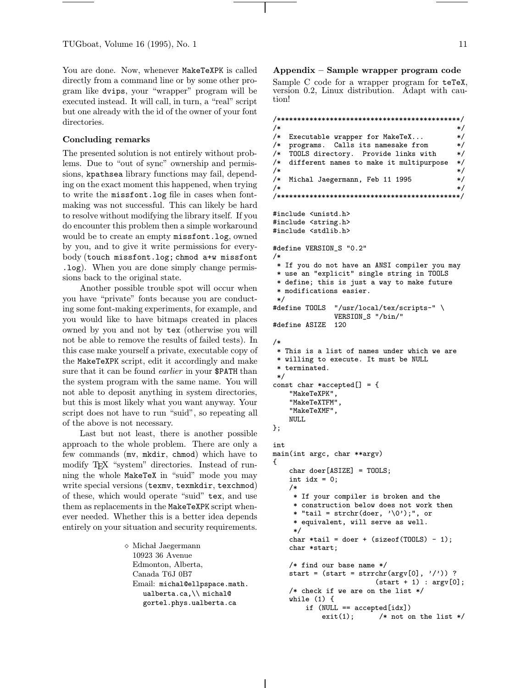You are done. Now, whenever MakeTeXPK is called directly from a command line or by some other program like dvips, your "wrapper" program will be executed instead. It will call, in turn, a "real" script but one already with the id of the owner of your font directories.

### Concluding remarks

The presented solution is not entirely without problems. Due to "out of sync" ownership and permissions, kpathsea library functions may fail, depending on the exact moment this happened, when trying to write the missfont.log file in cases when fontmaking was not successful. This can likely be hard to resolve without modifying the library itself. If you do encounter this problem then a simple workaround would be to create an empty missfont.log, owned by you, and to give it write permissions for everybody (touch missfont.log; chmod a+w missfont .log). When you are done simply change permissions back to the original state.

Another possible trouble spot will occur when you have "private" fonts because you are conducting some font-making experiments, for example, and you would like to have bitmaps created in places owned by you and not by tex (otherwise you will not be able to remove the results of failed tests). In this case make yourself a private, executable copy of the MakeTeXPK script, edit it accordingly and make sure that it can be found *earlier* in your \$PATH than the system program with the same name. You will not able to deposit anything in system directories, but this is most likely what you want anyway. Your script does not have to run "suid", so repeating all of the above is not necessary.

Last but not least, there is another possible approach to the whole problem. There are only a few commands (mv, mkdir, chmod) which have to modify T<sub>EX</sub> "system" directories. Instead of running the whole MakeTeX in "suid" mode you may write special versions (texmv, texmkdir, texchmod) of these, which would operate "suid" tex, and use them as replacements in the MakeTeXPK script whenever needed. Whether this is a better idea depends entirely on your situation and security requirements.

> $\diamond$  Michał Jaegermann 10923 36 Avenue Edmonton, Alberta, Canada T6J 0B7 Email: michal@ellpspace.math. ualberta.ca,\\ michal@ gortel.phys.ualberta.ca

Appendix – Sample wrapper program code

Sample C code for a wrapper program for teTeX, version 0.2, Linux distribution. Adapt with caution!

/\*\*\*\*\*\*\*\*\*\*\*\*\*\*\*\*\*\*\*\*\*\*\*\*\*\*\*\*\*\*\*\*\*\*\*\*\*\*\*\*\*\*\*\*\*/  $/*$  \*/ /\* Executable wrapper for MakeTeX... \*/ programs. Calls its namesake from /\* TOOLS directory. Provide links with \*/ /\* different names to make it multipurpose \*/  $/*$  \*/ /\* Michal Jaegermann, Feb 11 1995 \*/  $/*$  \*/ /\*\*\*\*\*\*\*\*\*\*\*\*\*\*\*\*\*\*\*\*\*\*\*\*\*\*\*\*\*\*\*\*\*\*\*\*\*\*\*\*\*\*\*\*\*/ #include <unistd.h> #include <string.h> #include <stdlib.h> #define VERSION\_S "0.2" /\* \* If you do not have an ANSI compiler you may \* use an "explicit" single string in TOOLS \* define; this is just a way to make future \* modifications easier. \*/<br>#define TOOLS  $"$ /usr/local/tex/scripts-" \ VERSION\_S "/bin/" #define ASIZE 120 /\* \* This is a list of names under which we are \* willing to execute. It must be NULL \* terminated. \*/ const char \*accepted[] = { "MakeTeXPK", "MakeTeXTFM", "MakeTeXMF", NULL }; int main(int argc, char \*\*argv) {  $char$  doer [ASIZE] = TOOLS; int  $idx = 0$ ; /\* \* If your compiler is broken and the \* construction below does not work then \* "tail = strchr(doer,  $'\0$ );", or \* equivalent, will serve as well. \*/ char \*tail = doer +  $(sizeof(T00LS) - 1);$ char \*start; /\* find our base name \*/ start =  $(start = struct)$  (start = strrchr(argv[0], '/')) ?  $(start + 1) : argv[0];$ /\* check if we are on the list \*/ while  $(1)$  { if (NULL == accepted[idx])  $exit(1);$  /\* not on the list \*/